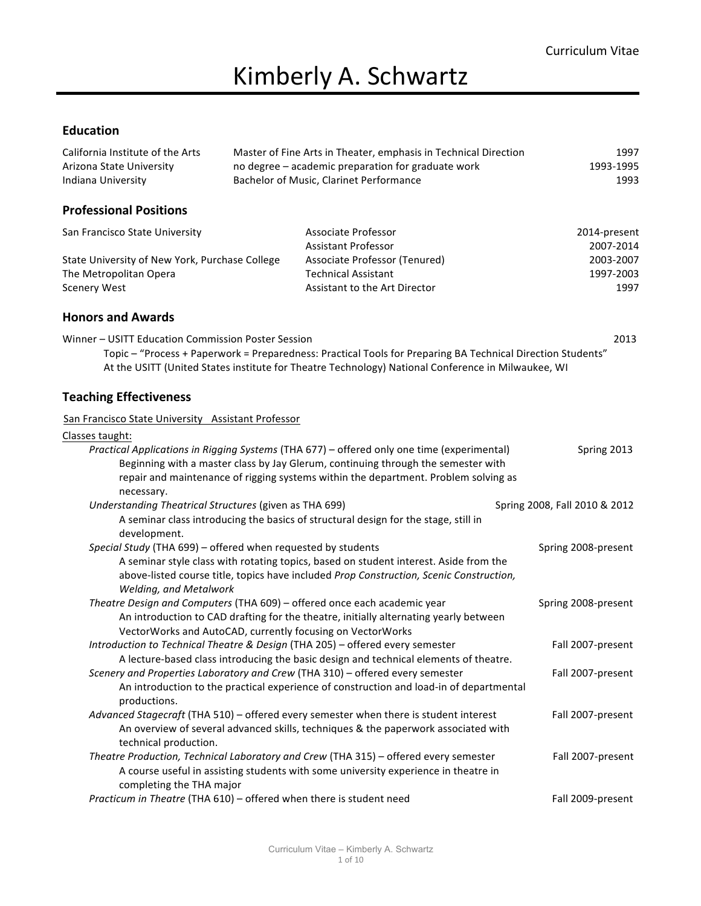# Kimberly A. Schwartz

# **Education**

| California Institute of the Arts<br>Arizona State University<br>Indiana University              | Master of Fine Arts in Theater, emphasis in Technical Direction<br>no degree - academic preparation for graduate work<br>Bachelor of Music, Clarinet Performance                                                                                                       | 1997<br>1993-1995<br>1993      |
|-------------------------------------------------------------------------------------------------|------------------------------------------------------------------------------------------------------------------------------------------------------------------------------------------------------------------------------------------------------------------------|--------------------------------|
| <b>Professional Positions</b>                                                                   |                                                                                                                                                                                                                                                                        |                                |
| San Francisco State University                                                                  | Associate Professor<br><b>Assistant Professor</b>                                                                                                                                                                                                                      | 2014-present<br>2007-2014      |
| State University of New York, Purchase College<br>The Metropolitan Opera<br><b>Scenery West</b> | Associate Professor (Tenured)<br><b>Technical Assistant</b><br>Assistant to the Art Director                                                                                                                                                                           | 2003-2007<br>1997-2003<br>1997 |
| <b>Honors and Awards</b>                                                                        |                                                                                                                                                                                                                                                                        |                                |
| Winner - USITT Education Commission Poster Session                                              | Topic - "Process + Paperwork = Preparedness: Practical Tools for Preparing BA Technical Direction Students"<br>At the USITT (United States institute for Theatre Technology) National Conference in Milwaukee, WI                                                      | 2013                           |
| <b>Teaching Effectiveness</b>                                                                   |                                                                                                                                                                                                                                                                        |                                |
| San Francisco State University Assistant Professor                                              |                                                                                                                                                                                                                                                                        |                                |
| Classes taught:                                                                                 |                                                                                                                                                                                                                                                                        |                                |
| necessary.                                                                                      | Practical Applications in Rigging Systems (THA 677) - offered only one time (experimental)<br>Beginning with a master class by Jay Glerum, continuing through the semester with<br>repair and maintenance of rigging systems within the department. Problem solving as | Spring 2013                    |
| Understanding Theatrical Structures (given as THA 699)<br>development.                          | A seminar class introducing the basics of structural design for the stage, still in                                                                                                                                                                                    | Spring 2008, Fall 2010 & 2012  |
| Special Study (THA 699) - offered when requested by students<br><b>Welding, and Metalwork</b>   | A seminar style class with rotating topics, based on student interest. Aside from the<br>above-listed course title, topics have included Prop Construction, Scenic Construction,                                                                                       | Spring 2008-present            |
|                                                                                                 | Theatre Design and Computers (THA 609) - offered once each academic year<br>An introduction to CAD drafting for the theatre, initially alternating yearly between<br>VectorWorks and AutoCAD, currently focusing on VectorWorks                                        | Spring 2008-present            |
|                                                                                                 | Introduction to Technical Theatre & Design (THA 205) - offered every semester<br>A lecture-based class introducing the basic design and technical elements of theatre.                                                                                                 | Fall 2007-present              |
| productions.                                                                                    | Scenery and Properties Laboratory and Crew (THA 310) - offered every semester<br>An introduction to the practical experience of construction and load-in of departmental                                                                                               | Fall 2007-present              |
| technical production.                                                                           | Advanced Stagecraft (THA 510) - offered every semester when there is student interest<br>An overview of several advanced skills, techniques & the paperwork associated with                                                                                            | Fall 2007-present              |
| completing the THA major                                                                        | Theatre Production, Technical Laboratory and Crew (THA 315) - offered every semester<br>A course useful in assisting students with some university experience in theatre in                                                                                            | Fall 2007-present              |
| Practicum in Theatre (THA 610) - offered when there is student need                             |                                                                                                                                                                                                                                                                        | Fall 2009-present              |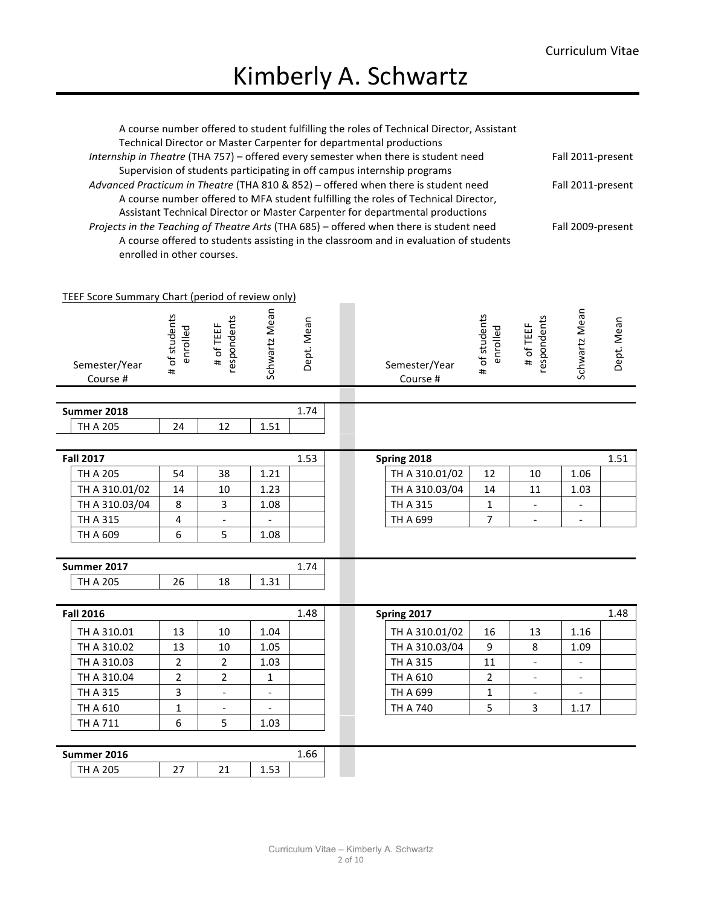| A course number offered to student fulfilling the roles of Technical Director, Assistant |                   |
|------------------------------------------------------------------------------------------|-------------------|
| Technical Director or Master Carpenter for departmental productions                      |                   |
| Internship in Theatre (THA 757) - offered every semester when there is student need      | Fall 2011-present |
| Supervision of students participating in off campus internship programs                  |                   |
| Advanced Practicum in Theatre (THA 810 & 852) - offered when there is student need       | Fall 2011-present |
| A course number offered to MFA student fulfilling the roles of Technical Director,       |                   |
| Assistant Technical Director or Master Carpenter for departmental productions            |                   |
| Projects in the Teaching of Theatre Arts (THA 685) - offered when there is student need  | Fall 2009-present |
| A course offered to students assisting in the classroom and in evaluation of students    |                   |
| enrolled in other courses.                                                               |                   |

### TEEF Score Summary Chart (period of review only)

| Semester/Year<br>Course # | # of students<br>enrolled | respondents<br># of TEEF | Schwartz Mean  | Dept. Mean |  | Semester/Year<br>Course # | # of students<br>enrolled | respondents<br># of TEEF | Schwartz Mean                | Dept. Mean |
|---------------------------|---------------------------|--------------------------|----------------|------------|--|---------------------------|---------------------------|--------------------------|------------------------------|------------|
| Summer 2018               |                           |                          |                | 1.74       |  |                           |                           |                          |                              |            |
| <b>TH A 205</b>           | 24                        | 12                       | 1.51           |            |  |                           |                           |                          |                              |            |
|                           |                           |                          |                |            |  |                           |                           |                          |                              |            |
| <b>Fall 2017</b>          |                           |                          |                | 1.53       |  | Spring 2018               |                           |                          |                              | 1.51       |
| TH A 205                  | 54                        | 38                       | 1.21           |            |  | TH A 310.01/02            | 12                        | 10                       | 1.06                         |            |
| TH A 310.01/02            | 14                        | 10                       | 1.23           |            |  | TH A 310.03/04            | 14                        | 11                       | 1.03                         |            |
| TH A 310.03/04            | 8                         | 3                        | 1.08           |            |  | TH A 315                  | 1                         |                          |                              |            |
| TH A 315                  | $\overline{\mathbf{4}}$   | $\overline{\phantom{a}}$ |                |            |  | TH A 699                  | 7                         | $\overline{\phantom{a}}$ | $\qquad \qquad \blacksquare$ |            |
| TH A 609                  | 6                         | 5                        | 1.08           |            |  |                           |                           |                          |                              |            |
|                           |                           |                          |                |            |  |                           |                           |                          |                              |            |
| Summer 2017               |                           |                          |                | 1.74       |  |                           |                           |                          |                              |            |
| TH A 205                  | 26                        | 18                       | 1.31           |            |  |                           |                           |                          |                              |            |
|                           |                           |                          |                |            |  |                           |                           |                          |                              |            |
| <b>Fall 2016</b>          |                           |                          |                | 1.48       |  | Spring 2017               |                           |                          |                              | 1.48       |
| TH A 310.01               | 13                        | 10                       | 1.04           |            |  | TH A 310.01/02            | 16                        | 13                       | 1.16                         |            |
| TH A 310.02               | 13                        | 10                       | 1.05           |            |  | TH A 310.03/04            | 9                         | 8                        | 1.09                         |            |
| TH A 310.03               | $\overline{2}$            | $\overline{2}$           | 1.03           |            |  | <b>TH A 315</b>           | 11                        | $\overline{\phantom{a}}$ | $\overline{a}$               |            |
| TH A 310.04               | $\overline{2}$            | $\overline{2}$           | $\mathbf{1}$   |            |  | TH A 610                  | $\overline{2}$            | $\overline{\phantom{a}}$ | $\overline{a}$               |            |
| <b>TH A 315</b>           | $\overline{3}$            | $\overline{\phantom{a}}$ | $\overline{a}$ |            |  | TH A 699                  | 1                         |                          |                              |            |
| TH A 610                  | $\mathbf{1}$              | $\overline{\phantom{a}}$ | $\overline{a}$ |            |  | <b>TH A 740</b>           | 5                         | $\overline{3}$           | 1.17                         |            |
| <b>TH A 711</b>           | 6                         | 5                        | 1.03           |            |  |                           |                           |                          |                              |            |
|                           |                           |                          |                |            |  |                           |                           |                          |                              |            |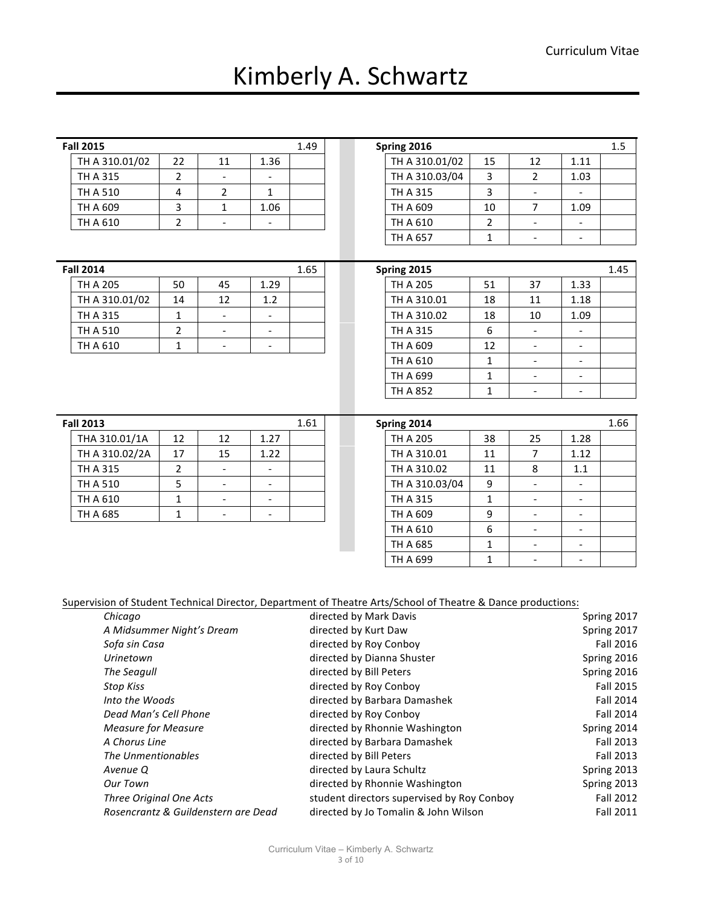# Kimberly A. Schwartz

| <b>Fall 2015</b>                                                                                             |                |                          |                          | 1.49 |                                                | Spring 2016                                |                |                          |                              | 1.5                        |
|--------------------------------------------------------------------------------------------------------------|----------------|--------------------------|--------------------------|------|------------------------------------------------|--------------------------------------------|----------------|--------------------------|------------------------------|----------------------------|
| TH A 310.01/02                                                                                               | 22             | 11                       | 1.36                     |      |                                                | TH A 310.01/02                             | 15             | 12                       | 1.11                         |                            |
| <b>TH A 315</b>                                                                                              | 2              |                          |                          |      |                                                | TH A 310.03/04                             | 3              | 2                        | 1.03                         |                            |
| <b>TH A 510</b>                                                                                              | 4              | $\overline{2}$           | 1                        |      |                                                | TH A 315                                   | 3              |                          |                              |                            |
| TH A 609                                                                                                     | 3              | 1                        | 1.06                     |      |                                                | TH A 609                                   | 10             | 7                        | 1.09                         |                            |
| TH A 610                                                                                                     | $\overline{2}$ |                          |                          |      |                                                | TH A 610                                   | $\overline{2}$ |                          |                              |                            |
|                                                                                                              |                |                          |                          |      |                                                | TH A 657                                   | $\mathbf{1}$   |                          |                              |                            |
| <b>Fall 2014</b>                                                                                             |                |                          |                          | 1.65 |                                                | Spring 2015                                |                |                          |                              | 1.45                       |
| <b>TH A 205</b>                                                                                              | 50             | 45                       | 1.29                     |      |                                                | TH A 205                                   | 51             | 37                       | 1.33                         |                            |
| TH A 310.01/02                                                                                               | 14             | 12                       | 1.2                      |      |                                                | TH A 310.01                                | 18             | 11                       | 1.18                         |                            |
| <b>TH A 315</b>                                                                                              | 1              | $\overline{\phantom{a}}$ | $\overline{\phantom{0}}$ |      |                                                | TH A 310.02                                | 18             | 10                       | 1.09                         |                            |
| <b>TH A 510</b>                                                                                              | $\overline{2}$ | $\overline{\phantom{a}}$ | $\overline{\phantom{a}}$ |      |                                                | <b>TH A 315</b>                            | 6              | $\overline{\phantom{a}}$ | $\overline{\phantom{a}}$     |                            |
| TH A 610                                                                                                     | 1              | $\overline{\phantom{0}}$ | $\frac{1}{2}$            |      |                                                | TH A 609                                   | 12             | $\overline{\phantom{a}}$ |                              |                            |
|                                                                                                              |                |                          |                          |      |                                                | TH A 610                                   | $\mathbf{1}$   | $\overline{\phantom{a}}$ | $\overline{\phantom{a}}$     |                            |
|                                                                                                              |                |                          |                          |      |                                                | TH A 699                                   | $\mathbf{1}$   |                          |                              |                            |
|                                                                                                              |                |                          |                          |      |                                                | <b>TH A 852</b>                            | $\mathbf{1}$   | $\overline{\phantom{a}}$ | $\qquad \qquad -$            |                            |
|                                                                                                              |                |                          |                          |      |                                                |                                            |                |                          |                              |                            |
| <b>Fall 2013</b>                                                                                             |                |                          |                          | 1.61 |                                                | Spring 2014                                |                |                          |                              | 1.66                       |
| THA 310.01/1A                                                                                                | 12             | 12                       | 1.27                     |      |                                                | <b>TH A 205</b>                            | 38             | 25                       | 1.28                         |                            |
| TH A 310.02/2A                                                                                               | 17             | 15                       | 1.22                     |      |                                                | TH A 310.01                                | 11             | $\overline{7}$           | 1.12                         |                            |
| TH A 315                                                                                                     | 2              | $\overline{\phantom{a}}$ |                          |      |                                                | TH A 310.02                                | 11             | 8                        | 1.1                          |                            |
| TH A 510                                                                                                     | 5              | $\overline{\phantom{a}}$ | $\overline{a}$           |      |                                                | TH A 310.03/04                             | 9              |                          |                              |                            |
| TH A 610                                                                                                     | 1              | $\overline{\phantom{a}}$ | $\overline{\phantom{a}}$ |      |                                                | TH A 315                                   | 1              |                          | $\overline{\phantom{0}}$     |                            |
| TH A 685                                                                                                     | $\mathbf{1}$   | $\overline{\phantom{a}}$ | $\overline{\phantom{a}}$ |      |                                                | TH A 609                                   | 9              | $\overline{\phantom{a}}$ | $\qquad \qquad \blacksquare$ |                            |
|                                                                                                              |                |                          |                          |      |                                                | TH A 610                                   | 6              | $\overline{\phantom{a}}$ | $\overline{\phantom{a}}$     |                            |
|                                                                                                              |                |                          |                          |      |                                                | TH A 685                                   | $\mathbf{1}$   |                          | $\overline{a}$               |                            |
|                                                                                                              |                |                          |                          |      |                                                | TH A 699                                   | 1              | $\overline{a}$           |                              |                            |
| Supervision of Student Technical Director, Department of Theatre Arts/School of Theatre & Dance productions: |                |                          |                          |      |                                                |                                            |                |                          |                              |                            |
| Chicago<br>A Midsummer Night's Dream                                                                         |                |                          |                          |      | directed by Mark Davis<br>directed by Kurt Daw |                                            |                |                          |                              | Spring 2017<br>Spring 2017 |
| Sofa sin Casa                                                                                                |                |                          |                          |      | directed by Roy Conboy                         |                                            |                |                          |                              | <b>Fall 2016</b>           |
| Urinetown                                                                                                    |                |                          |                          |      | directed by Dianna Shuster                     |                                            |                |                          |                              | Spring 2016                |
| The Seagull                                                                                                  |                |                          |                          |      | directed by Bill Peters                        |                                            |                |                          |                              | Spring 2016                |
| <b>Stop Kiss</b>                                                                                             |                |                          |                          |      | directed by Roy Conboy                         |                                            |                |                          |                              | <b>Fall 2015</b>           |
| Into the Woods                                                                                               |                |                          |                          |      |                                                | directed by Barbara Damashek               |                |                          |                              | <b>Fall 2014</b>           |
| Dead Man's Cell Phone                                                                                        |                |                          |                          |      | directed by Roy Conboy                         |                                            |                |                          |                              | <b>Fall 2014</b>           |
| <b>Measure for Measure</b>                                                                                   |                |                          |                          |      |                                                | directed by Rhonnie Washington             |                |                          |                              | Spring 2014                |
| A Chorus Line                                                                                                |                |                          |                          |      |                                                | directed by Barbara Damashek               |                |                          |                              | <b>Fall 2013</b>           |
| The Unmentionables                                                                                           |                |                          |                          |      | directed by Bill Peters                        |                                            |                |                          |                              | <b>Fall 2013</b>           |
| Avenue Q                                                                                                     |                |                          |                          |      | directed by Laura Schultz                      |                                            |                |                          |                              | Spring 2013                |
| <b>Our Town</b>                                                                                              |                |                          |                          |      |                                                | directed by Rhonnie Washington             |                |                          |                              | Spring 2013                |
| Three Original One Acts                                                                                      |                |                          |                          |      |                                                | student directors supervised by Roy Conboy |                |                          |                              | <b>Fall 2012</b>           |

*Rosencrantz & Guildenstern are Dead* directed by Jo Tomalin & John Wilson **1998 1988** Tall 2011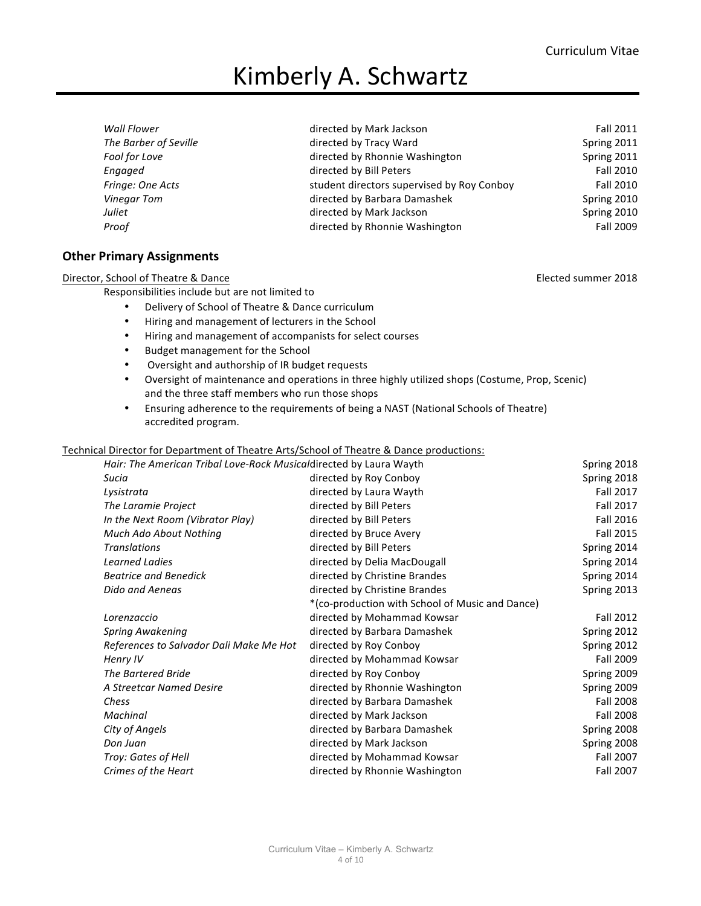# Kimberly A. Schwartz

| Wall Flower           | directed by Mark Jackson                   | Fall 2011   |
|-----------------------|--------------------------------------------|-------------|
| The Barber of Seville | directed by Tracy Ward                     | Spring 2011 |
| Fool for Love         | directed by Rhonnie Washington             | Spring 2011 |
| Engaged               | directed by Bill Peters                    | Fall 2010   |
| Fringe: One Acts      | student directors supervised by Roy Conboy | Fall 2010   |
| Vinegar Tom           | directed by Barbara Damashek               | Spring 2010 |
| Juliet                | directed by Mark Jackson                   | Spring 2010 |
| Proof                 | directed by Rhonnie Washington             | Fall 2009   |
|                       |                                            |             |

## **Other Primary Assignments**

### Director, School of Theatre & Dance Elected summer 2018

Responsibilities include but are not limited to

- Delivery of School of Theatre & Dance curriculum
- Hiring and management of lecturers in the School
- Hiring and management of accompanists for select courses
- Budget management for the School
- Oversight and authorship of IR budget requests
- Oversight of maintenance and operations in three highly utilized shops (Costume, Prop, Scenic) and the three staff members who run those shops
- Ensuring adherence to the requirements of being a NAST (National Schools of Theatre) accredited program.

#### Technical Director for Department of Theatre Arts/School of Theatre & Dance productions:

| Hair: The American Tribal Love-Rock Musicaldirected by Laura Wayth |                                                 | Spring 2018      |
|--------------------------------------------------------------------|-------------------------------------------------|------------------|
| Sucia                                                              | directed by Roy Conboy                          | Spring 2018      |
| Lysistrata                                                         | directed by Laura Wayth                         | <b>Fall 2017</b> |
| The Laramie Project                                                | directed by Bill Peters                         | Fall 2017        |
| In the Next Room (Vibrator Play)                                   | directed by Bill Peters                         | <b>Fall 2016</b> |
| Much Ado About Nothing                                             | directed by Bruce Avery                         | Fall 2015        |
| <b>Translations</b>                                                | directed by Bill Peters                         | Spring 2014      |
| <b>Learned Ladies</b>                                              | directed by Delia MacDougall                    | Spring 2014      |
| <b>Beatrice and Benedick</b>                                       | directed by Christine Brandes                   | Spring 2014      |
| Dido and Aeneas                                                    | directed by Christine Brandes                   | Spring 2013      |
|                                                                    | *(co-production with School of Music and Dance) |                  |
| Lorenzaccio                                                        | directed by Mohammad Kowsar                     | <b>Fall 2012</b> |
| Spring Awakening                                                   | directed by Barbara Damashek                    | Spring 2012      |
| References to Salvador Dali Make Me Hot                            | directed by Roy Conboy                          | Spring 2012      |
| Henry IV                                                           | directed by Mohammad Kowsar                     | Fall 2009        |
| <b>The Bartered Bride</b>                                          | directed by Roy Conboy                          | Spring 2009      |
| A Streetcar Named Desire                                           | directed by Rhonnie Washington                  | Spring 2009      |
| Chess                                                              | directed by Barbara Damashek                    | <b>Fall 2008</b> |
| Machinal                                                           | directed by Mark Jackson                        | <b>Fall 2008</b> |
| City of Angels                                                     | directed by Barbara Damashek                    | Spring 2008      |
| Don Juan                                                           | directed by Mark Jackson                        | Spring 2008      |
| Troy: Gates of Hell                                                | directed by Mohammad Kowsar                     | Fall 2007        |
| Crimes of the Heart                                                | directed by Rhonnie Washington                  | <b>Fall 2007</b> |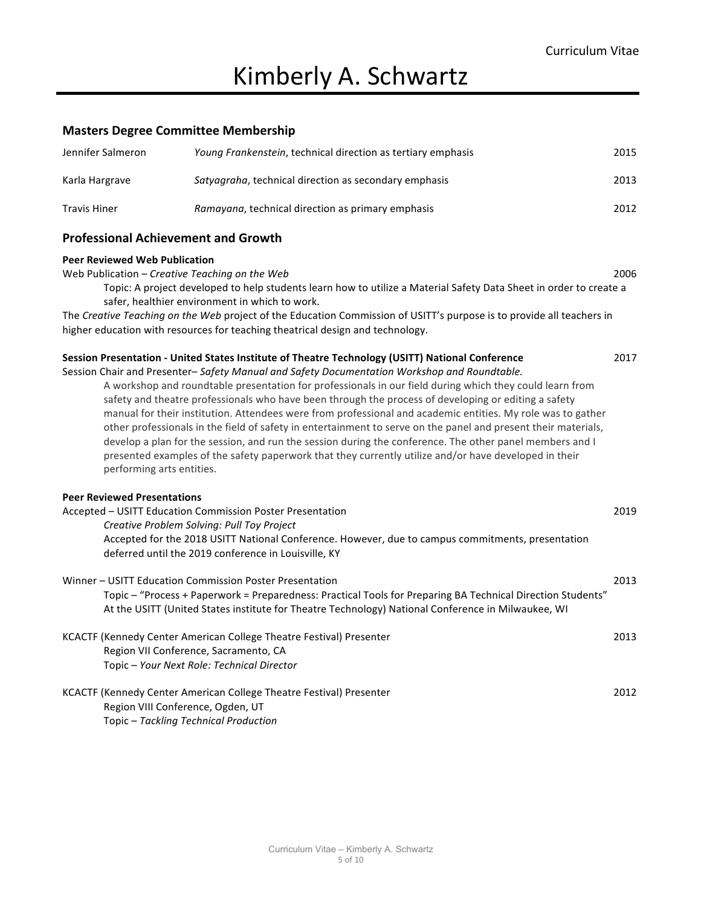### **Masters Degree Committee Membership**

| Jennifer Salmeron   | Young Frankenstein, technical direction as tertiary emphasis | 2015 |
|---------------------|--------------------------------------------------------------|------|
| Karla Hargrave      | Satyagraha, technical direction as secondary emphasis        | 2013 |
| <b>Travis Hiner</b> | Ramayana, technical direction as primary emphasis            | 2012 |

## **Professional Achievement and Growth**

#### **Peer Reviewed Web Publication**

Web Publication – *Creative Teaching on the Web* 2006

Topic – *Your Next Role: Technical Director*

Topic: A project developed to help students learn how to utilize a Material Safety Data Sheet in order to create a safer, healthier environment in which to work.

The *Creative Teaching on the Web* project of the Education Commission of USITT's purpose is to provide all teachers in higher education with resources for teaching theatrical design and technology.

## **Session Presentation - United States Institute of Theatre Technology (USITT) National Conference <b>8** 2017

Session Chair and Presenter- Safety Manual and Safety Documentation Workshop and Roundtable. A workshop and roundtable presentation for professionals in our field during which they could learn from safety and theatre professionals who have been through the process of developing or editing a safety manual for their institution. Attendees were from professional and academic entities. My role was to gather other professionals in the field of safety in entertainment to serve on the panel and present their materials, develop a plan for the session, and run the session during the conference. The other panel members and I presented examples of the safety paperwork that they currently utilize and/or have developed in their performing arts entities.

### **Peer Reviewed Presentations**

| Accepted – USITT Education Commission Poster Presentation                                                                                                 | 2019 |
|-----------------------------------------------------------------------------------------------------------------------------------------------------------|------|
| Creative Problem Solving: Pull Toy Project                                                                                                                |      |
| Accepted for the 2018 USITT National Conference. However, due to campus commitments, presentation<br>deferred until the 2019 conference in Louisville, KY |      |
|                                                                                                                                                           |      |

| Winner – USITT Education Commission Poster Presentation                                                                                                                                                           | 2013 |
|-------------------------------------------------------------------------------------------------------------------------------------------------------------------------------------------------------------------|------|
| Topic – "Process + Paperwork = Preparedness: Practical Tools for Preparing BA Technical Direction Students"<br>At the USITT (United States institute for Theatre Technology) National Conference in Milwaukee, WI |      |
| KCACTF (Kennedy Center American College Theatre Festival) Presenter<br>Region VII Conference, Sacramento, CA                                                                                                      | 2013 |

| KCACTF (Kennedy Center American College Theatre Festival) Presenter | 2012 |
|---------------------------------------------------------------------|------|
| Region VIII Conference, Ogden, UT                                   |      |
| Topic - Tackling Technical Production                               |      |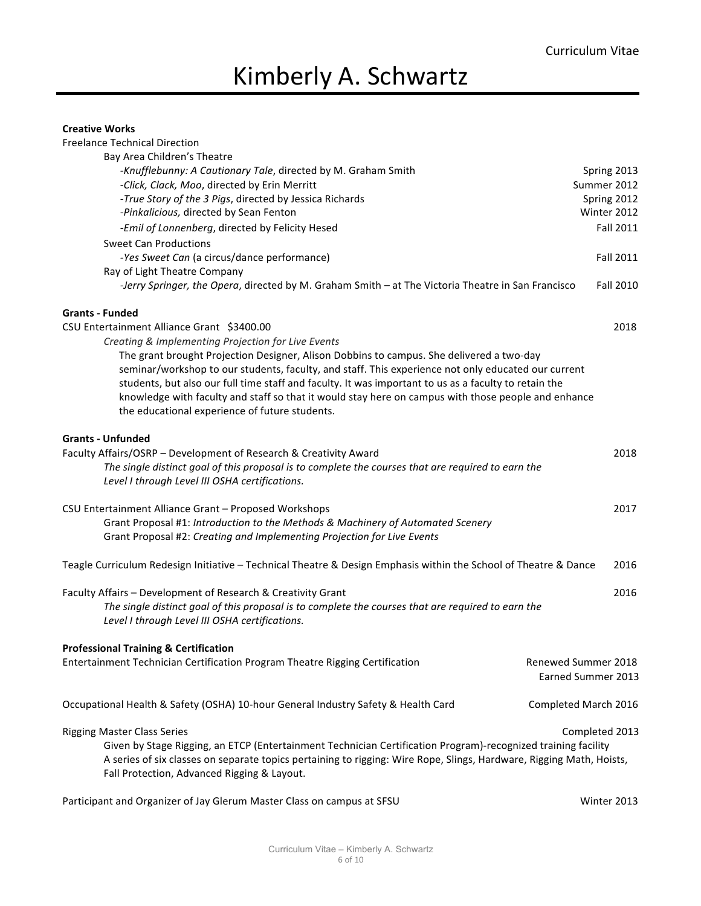# **Creative Works**

| <b>Creative Works</b>                                                                                                                                                                                                                                                                                                                                                                                                                                             |                                           |
|-------------------------------------------------------------------------------------------------------------------------------------------------------------------------------------------------------------------------------------------------------------------------------------------------------------------------------------------------------------------------------------------------------------------------------------------------------------------|-------------------------------------------|
| <b>Freelance Technical Direction</b>                                                                                                                                                                                                                                                                                                                                                                                                                              |                                           |
| Bay Area Children's Theatre                                                                                                                                                                                                                                                                                                                                                                                                                                       |                                           |
| -Knufflebunny: A Cautionary Tale, directed by M. Graham Smith                                                                                                                                                                                                                                                                                                                                                                                                     | Spring 2013                               |
| -Click, Clack, Moo, directed by Erin Merritt                                                                                                                                                                                                                                                                                                                                                                                                                      | Summer 2012                               |
| -True Story of the 3 Pigs, directed by Jessica Richards                                                                                                                                                                                                                                                                                                                                                                                                           | Spring 2012                               |
| -Pinkalicious, directed by Sean Fenton                                                                                                                                                                                                                                                                                                                                                                                                                            | Winter 2012                               |
| -Emil of Lonnenberg, directed by Felicity Hesed                                                                                                                                                                                                                                                                                                                                                                                                                   | <b>Fall 2011</b>                          |
| <b>Sweet Can Productions</b>                                                                                                                                                                                                                                                                                                                                                                                                                                      |                                           |
| -Yes Sweet Can (a circus/dance performance)                                                                                                                                                                                                                                                                                                                                                                                                                       | Fall 2011                                 |
| Ray of Light Theatre Company<br>-Jerry Springer, the Opera, directed by M. Graham Smith - at The Victoria Theatre in San Francisco                                                                                                                                                                                                                                                                                                                                | Fall 2010                                 |
| <b>Grants - Funded</b>                                                                                                                                                                                                                                                                                                                                                                                                                                            |                                           |
| CSU Entertainment Alliance Grant \$3400.00                                                                                                                                                                                                                                                                                                                                                                                                                        | 2018                                      |
| Creating & Implementing Projection for Live Events                                                                                                                                                                                                                                                                                                                                                                                                                |                                           |
| The grant brought Projection Designer, Alison Dobbins to campus. She delivered a two-day<br>seminar/workshop to our students, faculty, and staff. This experience not only educated our current<br>students, but also our full time staff and faculty. It was important to us as a faculty to retain the<br>knowledge with faculty and staff so that it would stay here on campus with those people and enhance<br>the educational experience of future students. |                                           |
| <b>Grants - Unfunded</b>                                                                                                                                                                                                                                                                                                                                                                                                                                          |                                           |
| Faculty Affairs/OSRP - Development of Research & Creativity Award                                                                                                                                                                                                                                                                                                                                                                                                 | 2018                                      |
| The single distinct goal of this proposal is to complete the courses that are required to earn the<br>Level I through Level III OSHA certifications.                                                                                                                                                                                                                                                                                                              |                                           |
| CSU Entertainment Alliance Grant - Proposed Workshops                                                                                                                                                                                                                                                                                                                                                                                                             | 2017                                      |
| Grant Proposal #1: Introduction to the Methods & Machinery of Automated Scenery                                                                                                                                                                                                                                                                                                                                                                                   |                                           |
| Grant Proposal #2: Creating and Implementing Projection for Live Events                                                                                                                                                                                                                                                                                                                                                                                           |                                           |
| Teagle Curriculum Redesign Initiative - Technical Theatre & Design Emphasis within the School of Theatre & Dance                                                                                                                                                                                                                                                                                                                                                  | 2016                                      |
| Faculty Affairs - Development of Research & Creativity Grant                                                                                                                                                                                                                                                                                                                                                                                                      | 2016                                      |
| The single distinct goal of this proposal is to complete the courses that are required to earn the<br>Level I through Level III OSHA certifications.                                                                                                                                                                                                                                                                                                              |                                           |
| <b>Professional Training &amp; Certification</b>                                                                                                                                                                                                                                                                                                                                                                                                                  |                                           |
| Entertainment Technician Certification Program Theatre Rigging Certification                                                                                                                                                                                                                                                                                                                                                                                      | Renewed Summer 2018<br>Earned Summer 2013 |
| Occupational Health & Safety (OSHA) 10-hour General Industry Safety & Health Card                                                                                                                                                                                                                                                                                                                                                                                 | Completed March 2016                      |
| <b>Rigging Master Class Series</b>                                                                                                                                                                                                                                                                                                                                                                                                                                | Completed 2013                            |
| Given by Stage Rigging, an ETCP (Entertainment Technician Certification Program)-recognized training facility<br>A series of six classes on separate topics pertaining to rigging: Wire Rope, Slings, Hardware, Rigging Math, Hoists,<br>Fall Protection, Advanced Rigging & Layout.                                                                                                                                                                              |                                           |
| Participant and Organizer of Jay Glerum Master Class on campus at SFSU                                                                                                                                                                                                                                                                                                                                                                                            | Winter 2013                               |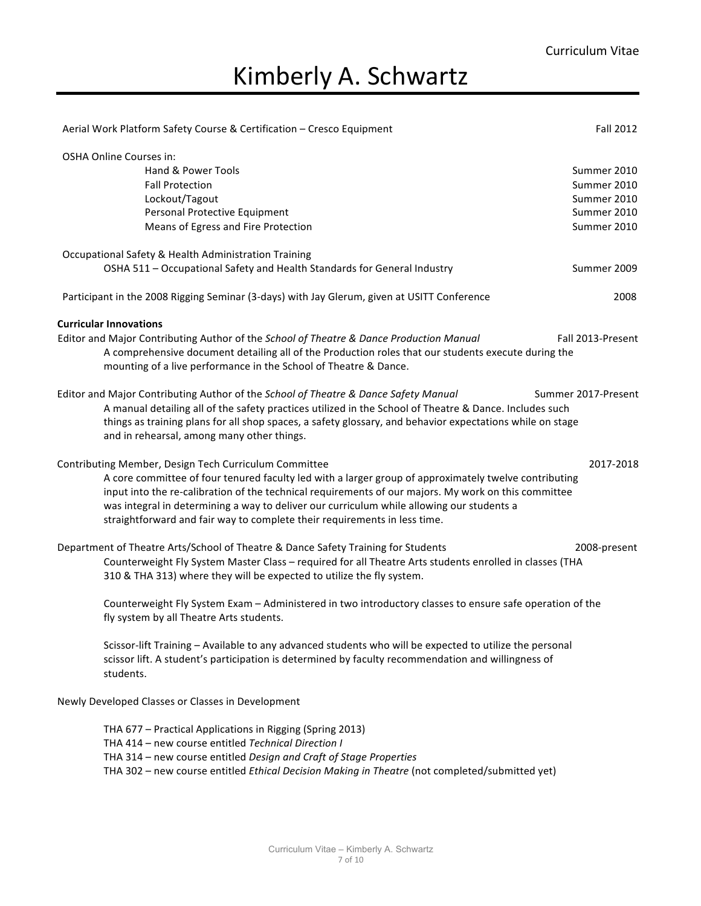# Kimberly A. Schwartz

| Aerial Work Platform Safety Course & Certification - Cresco Equipment                                                                                                   | <b>Fall 2012</b>    |
|-------------------------------------------------------------------------------------------------------------------------------------------------------------------------|---------------------|
| OSHA Online Courses in:                                                                                                                                                 |                     |
| Hand & Power Tools                                                                                                                                                      | Summer 2010         |
| <b>Fall Protection</b>                                                                                                                                                  | Summer 2010         |
|                                                                                                                                                                         |                     |
| Lockout/Tagout                                                                                                                                                          | Summer 2010         |
| Personal Protective Equipment                                                                                                                                           | Summer 2010         |
| Means of Egress and Fire Protection                                                                                                                                     | Summer 2010         |
| Occupational Safety & Health Administration Training                                                                                                                    |                     |
| OSHA 511 - Occupational Safety and Health Standards for General Industry                                                                                                | Summer 2009         |
| Participant in the 2008 Rigging Seminar (3-days) with Jay Glerum, given at USITT Conference                                                                             | 2008                |
| <b>Curricular Innovations</b>                                                                                                                                           |                     |
| Editor and Major Contributing Author of the School of Theatre & Dance Production Manual                                                                                 | Fall 2013-Present   |
| A comprehensive document detailing all of the Production roles that our students execute during the<br>mounting of a live performance in the School of Theatre & Dance. |                     |
|                                                                                                                                                                         |                     |
| Editor and Major Contributing Author of the School of Theatre & Dance Safety Manual                                                                                     | Summer 2017-Present |
| A manual detailing all of the safety practices utilized in the School of Theatre & Dance. Includes such                                                                 |                     |
| things as training plans for all shop spaces, a safety glossary, and behavior expectations while on stage                                                               |                     |
| and in rehearsal, among many other things.                                                                                                                              |                     |
| Contributing Member, Design Tech Curriculum Committee                                                                                                                   | 2017-2018           |
| A core committee of four tenured faculty led with a larger group of approximately twelve contributing                                                                   |                     |
| input into the re-calibration of the technical requirements of our majors. My work on this committee                                                                    |                     |
| was integral in determining a way to deliver our curriculum while allowing our students a                                                                               |                     |
| straightforward and fair way to complete their requirements in less time.                                                                                               |                     |
| Department of Theatre Arts/School of Theatre & Dance Safety Training for Students                                                                                       | 2008-present        |
| Counterweight Fly System Master Class - required for all Theatre Arts students enrolled in classes (THA                                                                 |                     |
| 310 & THA 313) where they will be expected to utilize the fly system.                                                                                                   |                     |
| Counterweight Fly System Exam - Administered in two introductory classes to ensure safe operation of the                                                                |                     |
| fly system by all Theatre Arts students.                                                                                                                                |                     |
|                                                                                                                                                                         |                     |
|                                                                                                                                                                         |                     |
| Scissor-lift Training - Available to any advanced students who will be expected to utilize the personal                                                                 |                     |
| scissor lift. A student's participation is determined by faculty recommendation and willingness of<br>students.                                                         |                     |
| Newly Developed Classes or Classes in Development                                                                                                                       |                     |
|                                                                                                                                                                         |                     |
| THA 677 - Practical Applications in Rigging (Spring 2013)<br>THA 414 - new course entitled Technical Direction I                                                        |                     |
| THA 314 - new course entitled Design and Craft of Stage Properties                                                                                                      |                     |
| THA 302 - new course entitled Ethical Decision Making in Theatre (not completed/submitted yet)                                                                          |                     |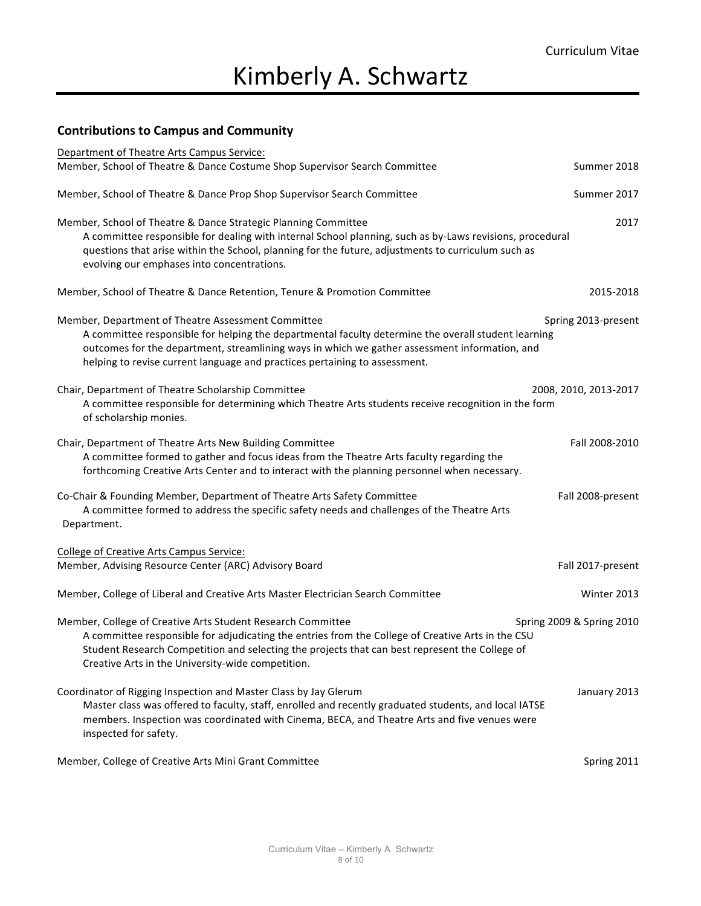# **Contributions to Campus and Community**

| Department of Theatre Arts Campus Service:                                                                                                                                                                                                                                                                                               |                           |
|------------------------------------------------------------------------------------------------------------------------------------------------------------------------------------------------------------------------------------------------------------------------------------------------------------------------------------------|---------------------------|
| Member, School of Theatre & Dance Costume Shop Supervisor Search Committee                                                                                                                                                                                                                                                               | Summer 2018               |
| Member, School of Theatre & Dance Prop Shop Supervisor Search Committee                                                                                                                                                                                                                                                                  | Summer 2017               |
| Member, School of Theatre & Dance Strategic Planning Committee<br>A committee responsible for dealing with internal School planning, such as by-Laws revisions, procedural<br>questions that arise within the School, planning for the future, adjustments to curriculum such as<br>evolving our emphases into concentrations.           | 2017                      |
| Member, School of Theatre & Dance Retention, Tenure & Promotion Committee                                                                                                                                                                                                                                                                | 2015-2018                 |
| Member, Department of Theatre Assessment Committee<br>A committee responsible for helping the departmental faculty determine the overall student learning<br>outcomes for the department, streamlining ways in which we gather assessment information, and<br>helping to revise current language and practices pertaining to assessment. | Spring 2013-present       |
| Chair, Department of Theatre Scholarship Committee<br>A committee responsible for determining which Theatre Arts students receive recognition in the form<br>of scholarship monies.                                                                                                                                                      | 2008, 2010, 2013-2017     |
| Chair, Department of Theatre Arts New Building Committee<br>A committee formed to gather and focus ideas from the Theatre Arts faculty regarding the<br>forthcoming Creative Arts Center and to interact with the planning personnel when necessary.                                                                                     | Fall 2008-2010            |
| Co-Chair & Founding Member, Department of Theatre Arts Safety Committee<br>A committee formed to address the specific safety needs and challenges of the Theatre Arts<br>Department.                                                                                                                                                     | Fall 2008-present         |
| <b>College of Creative Arts Campus Service:</b>                                                                                                                                                                                                                                                                                          |                           |
| Member, Advising Resource Center (ARC) Advisory Board                                                                                                                                                                                                                                                                                    | Fall 2017-present         |
| Member, College of Liberal and Creative Arts Master Electrician Search Committee                                                                                                                                                                                                                                                         | Winter 2013               |
| Member, College of Creative Arts Student Research Committee<br>A committee responsible for adjudicating the entries from the College of Creative Arts in the CSU<br>Student Research Competition and selecting the projects that can best represent the College of<br>Creative Arts in the University-wide competition.                  | Spring 2009 & Spring 2010 |
| Coordinator of Rigging Inspection and Master Class by Jay Glerum<br>Master class was offered to faculty, staff, enrolled and recently graduated students, and local IATSE<br>members. Inspection was coordinated with Cinema, BECA, and Theatre Arts and five venues were<br>inspected for safety.                                       | January 2013              |
| Member, College of Creative Arts Mini Grant Committee                                                                                                                                                                                                                                                                                    | Spring 2011               |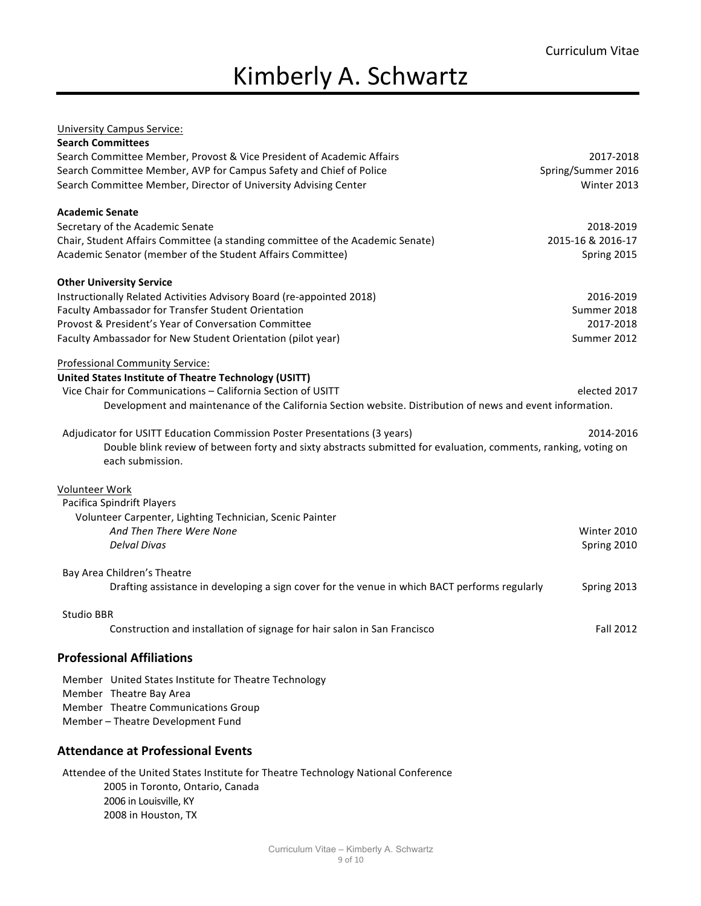# Kimberly A. Schwartz

| <b>Search Committees</b> | <b>University Campus Service:</b>                                                                                                            |                                  |
|--------------------------|----------------------------------------------------------------------------------------------------------------------------------------------|----------------------------------|
|                          | Search Committee Member, Provost & Vice President of Academic Affairs                                                                        | 2017-2018                        |
|                          | Search Committee Member, AVP for Campus Safety and Chief of Police                                                                           | Spring/Summer 2016               |
|                          | Search Committee Member, Director of University Advising Center                                                                              | Winter 2013                      |
| <b>Academic Senate</b>   |                                                                                                                                              |                                  |
|                          | Secretary of the Academic Senate                                                                                                             | 2018-2019                        |
|                          | Chair, Student Affairs Committee (a standing committee of the Academic Senate)<br>Academic Senator (member of the Student Affairs Committee) | 2015-16 & 2016-17<br>Spring 2015 |
|                          | <b>Other University Service</b>                                                                                                              |                                  |
|                          | Instructionally Related Activities Advisory Board (re-appointed 2018)                                                                        | 2016-2019                        |
|                          | Faculty Ambassador for Transfer Student Orientation                                                                                          | Summer 2018                      |
|                          | Provost & President's Year of Conversation Committee                                                                                         | 2017-2018                        |
|                          | Faculty Ambassador for New Student Orientation (pilot year)                                                                                  | Summer 2012                      |
|                          | <b>Professional Community Service:</b>                                                                                                       |                                  |
|                          | United States Institute of Theatre Technology (USITT)                                                                                        |                                  |
|                          | Vice Chair for Communications - California Section of USITT                                                                                  | elected 2017                     |
|                          | Development and maintenance of the California Section website. Distribution of news and event information.                                   |                                  |
|                          | Adjudicator for USITT Education Commission Poster Presentations (3 years)                                                                    | 2014-2016                        |
|                          | Double blink review of between forty and sixty abstracts submitted for evaluation, comments, ranking, voting on                              |                                  |
|                          | each submission.                                                                                                                             |                                  |
| Volunteer Work           |                                                                                                                                              |                                  |
|                          | Pacifica Spindrift Players                                                                                                                   |                                  |
|                          | Volunteer Carpenter, Lighting Technician, Scenic Painter                                                                                     |                                  |
|                          | And Then There Were None                                                                                                                     | Winter 2010                      |
|                          | <b>Delval Divas</b>                                                                                                                          | Spring 2010                      |
|                          | Bay Area Children's Theatre                                                                                                                  |                                  |
|                          | Drafting assistance in developing a sign cover for the venue in which BACT performs regularly                                                | Spring 2013                      |
| <b>Studio BBR</b>        |                                                                                                                                              |                                  |
|                          | Construction and installation of signage for hair salon in San Francisco                                                                     | <b>Fall 2012</b>                 |
|                          | <b>Professional Affiliations</b>                                                                                                             |                                  |
|                          | Member United States Institute for Theatre Technology                                                                                        |                                  |
|                          | Member Theatre Bay Area                                                                                                                      |                                  |
|                          | Member Theatre Communications Group                                                                                                          |                                  |
|                          | Member - Theatre Development Fund                                                                                                            |                                  |
|                          | <b>Attendance at Professional Events</b>                                                                                                     |                                  |
|                          | Attendee of the United States Institute for Theatre Technology National Conference                                                           |                                  |
|                          | 2005 in Toronto, Ontario, Canada                                                                                                             |                                  |
|                          | 2006 in Louisville, KY                                                                                                                       |                                  |

2008 in Houston, TX